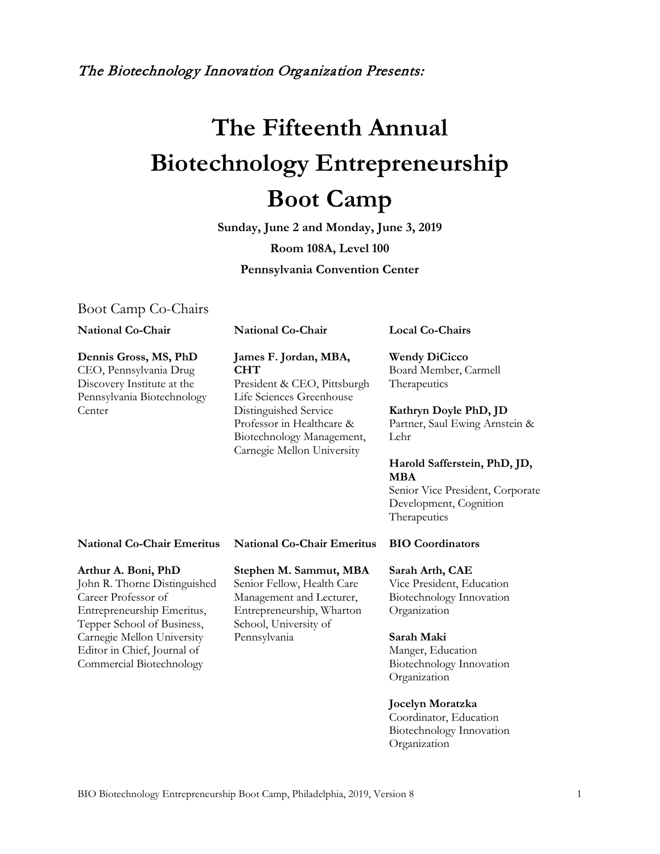The Biotechnology Innovation Organization Presents:

# **The Fifteenth Annual Biotechnology Entrepreneurship Boot Camp**

**Sunday, June 2 and Monday, June 3, 2019 Room 108A, Level 100 Pennsylvania Convention Center**

## Boot Camp Co-Chairs

**National Co-Chair**

**Dennis Gross, MS, PhD** CEO, Pennsylvania Drug Discovery Institute at the Pennsylvania Biotechnology Center

**CHT** President & CEO, Pittsburgh Life Sciences Greenhouse Distinguished Service Professor in Healthcare & Biotechnology Management, Carnegie Mellon University

**National Co-Chair**

**James F. Jordan, MBA,** 

**Wendy DiCicco** Board Member, Carmell

**Local Co-Chairs**

Therapeutics **Kathryn Doyle PhD, JD**

Partner, Saul Ewing Arnstein & Lehr

#### **Harold Safferstein, PhD, JD, MBA**

Senior Vice President, Corporate Development, Cognition **Therapeutics** 

## **National Co-Chair Emeritus**

#### **Arthur A. Boni, PhD**

John R. Thorne Distinguished Career Professor of Entrepreneurship Emeritus, Tepper School of Business, Carnegie Mellon University Editor in Chief, Journal of Commercial Biotechnology

## **National Co-Chair Emeritus**

## **Stephen M. Sammut, MBA**

Senior Fellow, Health Care Management and Lecturer, Entrepreneurship, Wharton School, University of Pennsylvania

#### **BIO Coordinators**

**Sarah Arth, CAE** Vice President, Education Biotechnology Innovation Organization

#### **Sarah Maki**

Manger, Education Biotechnology Innovation Organization

#### **Jocelyn Moratzka**

Coordinator, Education Biotechnology Innovation Organization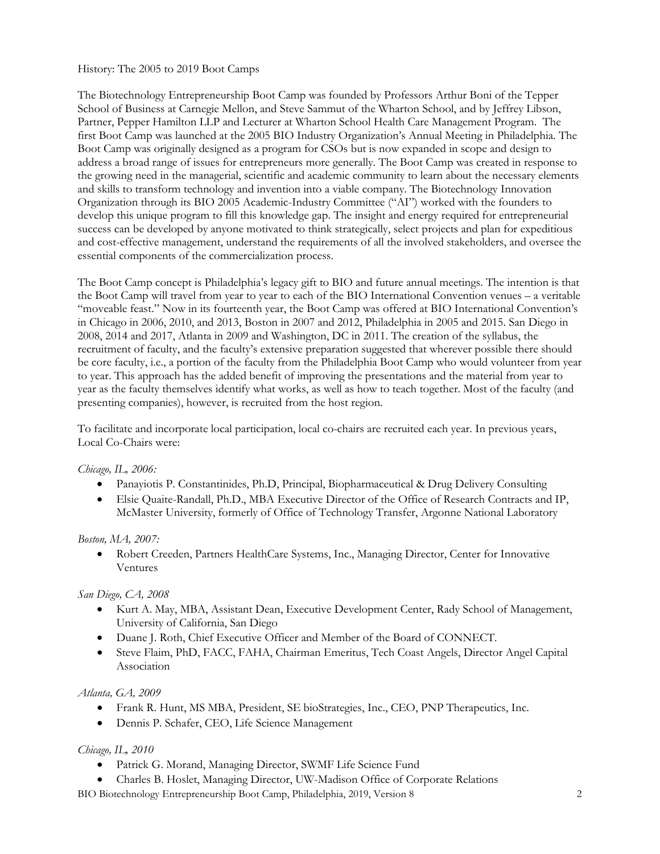#### History: The 2005 to 2019 Boot Camps

The Biotechnology Entrepreneurship Boot Camp was founded by Professors Arthur Boni of the Tepper School of Business at Carnegie Mellon, and Steve Sammut of the Wharton School, and by Jeffrey Libson, Partner, Pepper Hamilton LLP and Lecturer at Wharton School Health Care Management Program. The first Boot Camp was launched at the 2005 BIO Industry Organization's Annual Meeting in Philadelphia. The Boot Camp was originally designed as a program for CSOs but is now expanded in scope and design to address a broad range of issues for entrepreneurs more generally. The Boot Camp was created in response to the growing need in the managerial, scientific and academic community to learn about the necessary elements and skills to transform technology and invention into a viable company. The Biotechnology Innovation Organization through its BIO 2005 Academic-Industry Committee ("AI") worked with the founders to develop this unique program to fill this knowledge gap. The insight and energy required for entrepreneurial success can be developed by anyone motivated to think strategically, select projects and plan for expeditious and cost-effective management, understand the requirements of all the involved stakeholders, and oversee the essential components of the commercialization process.

The Boot Camp concept is Philadelphia's legacy gift to BIO and future annual meetings. The intention is that the Boot Camp will travel from year to year to each of the BIO International Convention venues – a veritable "moveable feast." Now in its fourteenth year, the Boot Camp was offered at BIO International Convention's in Chicago in 2006, 2010, and 2013, Boston in 2007 and 2012, Philadelphia in 2005 and 2015. San Diego in 2008, 2014 and 2017, Atlanta in 2009 and Washington, DC in 2011. The creation of the syllabus, the recruitment of faculty, and the faculty's extensive preparation suggested that wherever possible there should be core faculty, i.e., a portion of the faculty from the Philadelphia Boot Camp who would volunteer from year to year. This approach has the added benefit of improving the presentations and the material from year to year as the faculty themselves identify what works, as well as how to teach together. Most of the faculty (and presenting companies), however, is recruited from the host region.

To facilitate and incorporate local participation, local co-chairs are recruited each year. In previous years, Local Co-Chairs were:

#### *Chicago, IL, 2006:*

- Panayiotis P. Constantinides, Ph.D, Principal, Biopharmaceutical & Drug Delivery Consulting
- Elsie Quaite-Randall, Ph.D., MBA Executive Director of the Office of Research Contracts and IP, McMaster University, formerly of Office of Technology Transfer, Argonne National Laboratory

#### *Boston, MA, 2007:*

• Robert Creeden, Partners HealthCare Systems, Inc., Managing Director, Center for Innovative Ventures

#### *San Diego, CA, 2008*

- Kurt A. May, MBA, Assistant Dean, Executive Development Center, Rady School of Management, University of California, San Diego
- Duane J. Roth, Chief Executive Officer and Member of the Board of CONNECT*.*
- Steve Flaim, PhD, FACC, FAHA, Chairman Emeritus, Tech Coast Angels, Director Angel Capital Association

#### *Atlanta, GA, 2009*

- Frank R. Hunt, MS MBA, President, SE bioStrategies, Inc., CEO, PNP Therapeutics, Inc.
- Dennis P. Schafer, CEO, Life Science Management

#### *Chicago, IL, 2010*

• Patrick G. Morand, Managing Director, SWMF Life Science Fund

• Charles B. Hoslet, Managing Director, UW-Madison Office of Corporate Relations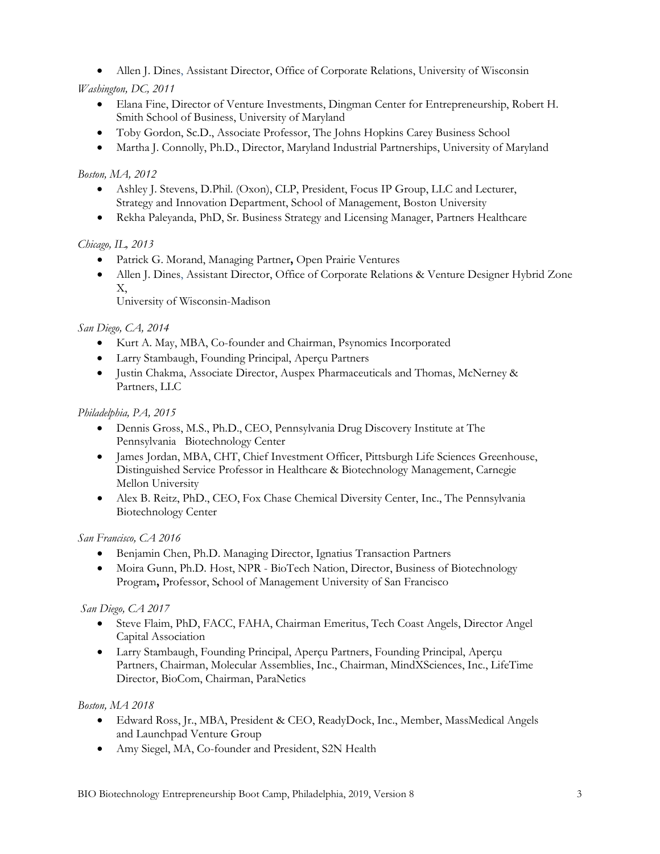• Allen J. Dines, Assistant Director, Office of Corporate Relations, University of Wisconsin

## *Washington, DC, 2011*

- Elana Fine, Director of Venture Investments, Dingman Center for Entrepreneurship, Robert H. Smith School of Business, University of Maryland
- Toby Gordon, Sc.D., Associate Professor, The Johns Hopkins Carey Business School
- Martha J. Connolly, Ph.D., Director, Maryland Industrial Partnerships, University of Maryland

## *Boston, MA, 2012*

- Ashley J. Stevens, D.Phil. (Oxon), CLP, President, Focus IP Group, LLC and Lecturer, Strategy and Innovation Department, School of Management, Boston University
- Rekha Paleyanda, PhD, Sr. Business Strategy and Licensing Manager, Partners Healthcare

## *Chicago, IL, 2013*

- Patrick G. Morand, Managing Partner**,** Open Prairie Ventures
- Allen J. Dines, Assistant Director, Office of Corporate Relations & Venture Designer Hybrid Zone X,

University of Wisconsin-Madison

## *San Diego, CA, 2014*

- Kurt A. May, MBA, Co-founder and Chairman, Psynomics Incorporated
- Larry Stambaugh, Founding Principal, Aperçu Partners
- Justin Chakma, Associate Director, Auspex Pharmaceuticals and Thomas, McNerney & Partners, LLC

## *Philadelphia, PA, 2015*

- Dennis Gross, M.S., Ph.D., CEO, Pennsylvania Drug Discovery Institute at The Pennsylvania Biotechnology Center
- James Jordan, MBA, CHT, Chief Investment Officer, Pittsburgh Life Sciences Greenhouse, Distinguished Service Professor in Healthcare & Biotechnology Management, Carnegie Mellon University
- Alex B. Reitz, PhD., CEO, Fox Chase Chemical Diversity Center, Inc., The Pennsylvania Biotechnology Center

## *San Francisco, CA 2016*

- Benjamin Chen, Ph.D. Managing Director, Ignatius Transaction Partners
- Moira Gunn, Ph.D. Host, NPR BioTech Nation, Director, Business of Biotechnology Program**,** Professor, School of Management University of San Francisco

## *San Diego, CA 2017*

- Steve Flaim, PhD, FACC, FAHA, Chairman Emeritus, Tech Coast Angels, Director Angel Capital Association
- Larry Stambaugh, Founding Principal, Aperçu Partners, Founding Principal, Aperçu Partners, Chairman, Molecular Assemblies, Inc., Chairman, MindXSciences, Inc., LifeTime Director, BioCom, Chairman, ParaNetics

## *Boston, MA 2018*

- Edward Ross, Jr., MBA, President & CEO, ReadyDock, Inc., Member, MassMedical Angels and Launchpad Venture Group
- Amy Siegel, MA, Co-founder and President, S2N Health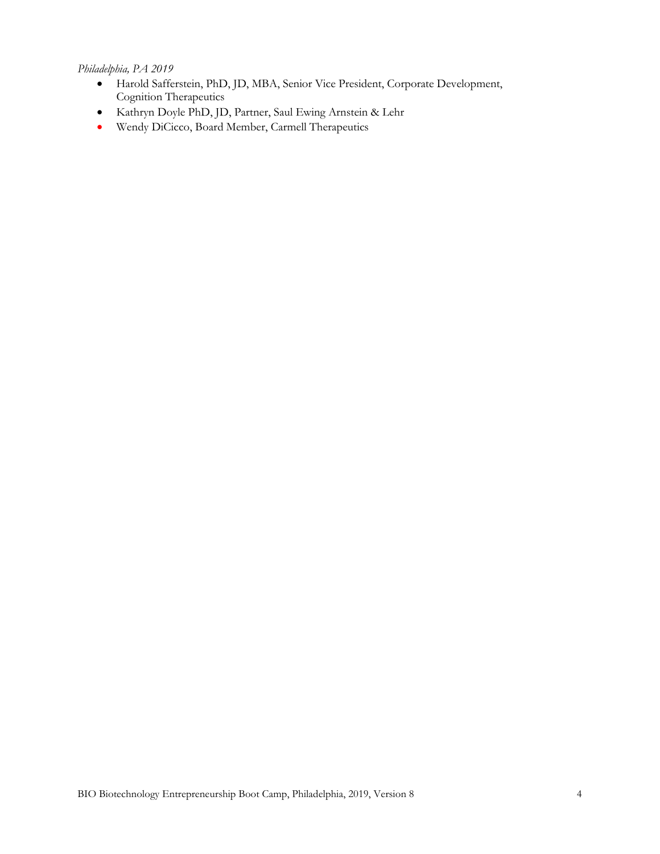*Philadelphia, PA 2019* 

- Harold Safferstein, PhD, JD, MBA, Senior Vice President, Corporate Development, Cognition Therapeutics
- Kathryn Doyle PhD, JD, Partner, Saul Ewing Arnstein & Lehr
- Wendy DiCicco, Board Member, Carmell Therapeutics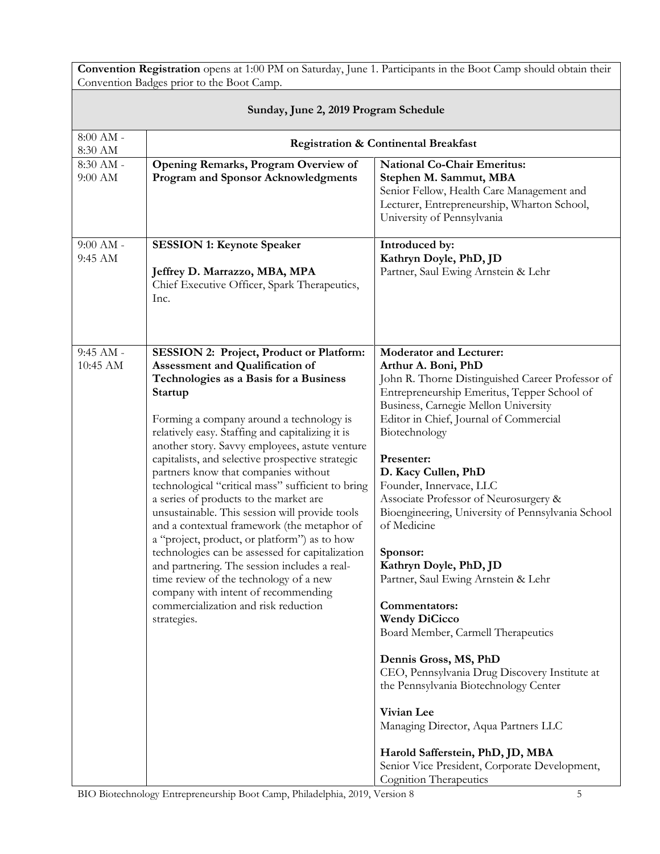| Convention Registration opens at 1:00 PM on Saturday, June 1. Participants in the Boot Camp should obtain their<br>Convention Badges prior to the Boot Camp. |                                                                                                                                                                                                                                                                                                                                                                                                                                                                                                                                                                                                                                                                                                                                                                                                                                                                                  |                                                                                                                                                                                                                                                                                                                                                                                                                                                                                                                                                                                                                                                                                                                                                                                                                                                                                              |
|--------------------------------------------------------------------------------------------------------------------------------------------------------------|----------------------------------------------------------------------------------------------------------------------------------------------------------------------------------------------------------------------------------------------------------------------------------------------------------------------------------------------------------------------------------------------------------------------------------------------------------------------------------------------------------------------------------------------------------------------------------------------------------------------------------------------------------------------------------------------------------------------------------------------------------------------------------------------------------------------------------------------------------------------------------|----------------------------------------------------------------------------------------------------------------------------------------------------------------------------------------------------------------------------------------------------------------------------------------------------------------------------------------------------------------------------------------------------------------------------------------------------------------------------------------------------------------------------------------------------------------------------------------------------------------------------------------------------------------------------------------------------------------------------------------------------------------------------------------------------------------------------------------------------------------------------------------------|
| Sunday, June 2, 2019 Program Schedule                                                                                                                        |                                                                                                                                                                                                                                                                                                                                                                                                                                                                                                                                                                                                                                                                                                                                                                                                                                                                                  |                                                                                                                                                                                                                                                                                                                                                                                                                                                                                                                                                                                                                                                                                                                                                                                                                                                                                              |
| $8:00$ AM -<br>8:30 AM                                                                                                                                       |                                                                                                                                                                                                                                                                                                                                                                                                                                                                                                                                                                                                                                                                                                                                                                                                                                                                                  | Registration & Continental Breakfast                                                                                                                                                                                                                                                                                                                                                                                                                                                                                                                                                                                                                                                                                                                                                                                                                                                         |
| $8:30$ AM -<br>$9:00$ AM                                                                                                                                     | Opening Remarks, Program Overview of<br><b>Program and Sponsor Acknowledgments</b>                                                                                                                                                                                                                                                                                                                                                                                                                                                                                                                                                                                                                                                                                                                                                                                               | <b>National Co-Chair Emeritus:</b><br>Stephen M. Sammut, MBA<br>Senior Fellow, Health Care Management and<br>Lecturer, Entrepreneurship, Wharton School,<br>University of Pennsylvania                                                                                                                                                                                                                                                                                                                                                                                                                                                                                                                                                                                                                                                                                                       |
| $9:00$ AM -<br>9:45 AM                                                                                                                                       | <b>SESSION 1: Keynote Speaker</b><br>Jeffrey D. Marrazzo, MBA, MPA<br>Chief Executive Officer, Spark Therapeutics,<br>lnc.                                                                                                                                                                                                                                                                                                                                                                                                                                                                                                                                                                                                                                                                                                                                                       | Introduced by:<br>Kathryn Doyle, PhD, JD<br>Partner, Saul Ewing Arnstein & Lehr                                                                                                                                                                                                                                                                                                                                                                                                                                                                                                                                                                                                                                                                                                                                                                                                              |
| $9:45 AM -$<br>10:45 AM                                                                                                                                      | <b>SESSION 2: Project, Product or Platform:</b><br>Assessment and Qualification of<br>Technologies as a Basis for a Business<br>Startup<br>Forming a company around a technology is<br>relatively easy. Staffing and capitalizing it is<br>another story. Savvy employees, astute venture<br>capitalists, and selective prospective strategic<br>partners know that companies without<br>technological "critical mass" sufficient to bring<br>a series of products to the market are<br>unsustainable. This session will provide tools<br>and a contextual framework (the metaphor of<br>a "project, product, or platform") as to how<br>technologies can be assessed for capitalization<br>and partnering. The session includes a real-<br>time review of the technology of a new<br>company with intent of recommending<br>commercialization and risk reduction<br>strategies. | <b>Moderator and Lecturer:</b><br>Arthur A. Boni, PhD<br>John R. Thorne Distinguished Career Professor of<br>Entrepreneurship Emeritus, Tepper School of<br>Business, Carnegie Mellon University<br>Editor in Chief, Journal of Commercial<br>Biotechnology<br>Presenter:<br>D. Kacy Cullen, PhD<br>Founder, Innervace, LLC<br>Associate Professor of Neurosurgery &<br>Bioengineering, University of Pennsylvania School<br>of Medicine<br>Sponsor:<br>Kathryn Doyle, PhD, JD<br>Partner, Saul Ewing Arnstein & Lehr<br>Commentators:<br><b>Wendy DiCicco</b><br>Board Member, Carmell Therapeutics<br>Dennis Gross, MS, PhD<br>CEO, Pennsylvania Drug Discovery Institute at<br>the Pennsylvania Biotechnology Center<br>Vivian Lee<br>Managing Director, Aqua Partners LLC<br>Harold Safferstein, PhD, JD, MBA<br>Senior Vice President, Corporate Development,<br>Cognition Therapeutics |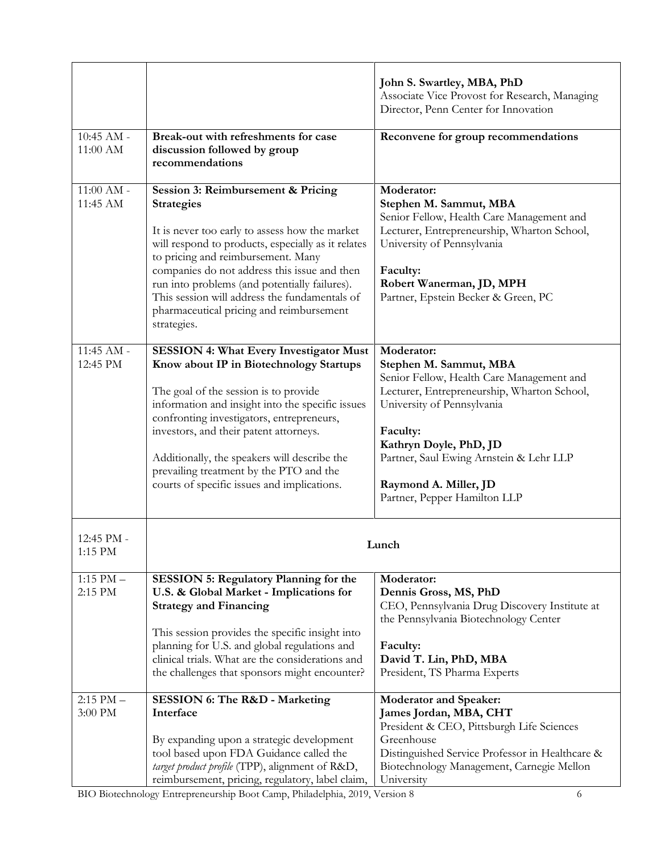|                          |                                                                                                                                                                                                                                                                                                                                                                                                                         | John S. Swartley, MBA, PhD<br>Associate Vice Provost for Research, Managing<br>Director, Penn Center for Innovation                                                                                                                                                                                      |
|--------------------------|-------------------------------------------------------------------------------------------------------------------------------------------------------------------------------------------------------------------------------------------------------------------------------------------------------------------------------------------------------------------------------------------------------------------------|----------------------------------------------------------------------------------------------------------------------------------------------------------------------------------------------------------------------------------------------------------------------------------------------------------|
| $10:45$ AM -<br>11:00 AM | Break-out with refreshments for case<br>discussion followed by group<br>recommendations                                                                                                                                                                                                                                                                                                                                 | Reconvene for group recommendations                                                                                                                                                                                                                                                                      |
| $11:00$ AM -<br>11:45 AM | Session 3: Reimbursement & Pricing<br><b>Strategies</b><br>It is never too early to assess how the market<br>will respond to products, especially as it relates<br>to pricing and reimbursement. Many<br>companies do not address this issue and then<br>run into problems (and potentially failures).<br>This session will address the fundamentals of<br>pharmaceutical pricing and reimbursement<br>strategies.      | Moderator:<br>Stephen M. Sammut, MBA<br>Senior Fellow, Health Care Management and<br>Lecturer, Entrepreneurship, Wharton School,<br>University of Pennsylvania<br>Faculty:<br>Robert Wanerman, JD, MPH<br>Partner, Epstein Becker & Green, PC                                                            |
| 11:45 AM -<br>12:45 PM   | <b>SESSION 4: What Every Investigator Must</b><br>Know about IP in Biotechnology Startups<br>The goal of the session is to provide<br>information and insight into the specific issues<br>confronting investigators, entrepreneurs,<br>investors, and their patent attorneys.<br>Additionally, the speakers will describe the<br>prevailing treatment by the PTO and the<br>courts of specific issues and implications. | Moderator:<br>Stephen M. Sammut, MBA<br>Senior Fellow, Health Care Management and<br>Lecturer, Entrepreneurship, Wharton School,<br>University of Pennsylvania<br>Faculty:<br>Kathryn Doyle, PhD, JD<br>Partner, Saul Ewing Arnstein & Lehr LLP<br>Raymond A. Miller, JD<br>Partner, Pepper Hamilton LLP |
| 12:45 PM -<br>1:15 PM    | Lunch                                                                                                                                                                                                                                                                                                                                                                                                                   |                                                                                                                                                                                                                                                                                                          |
| $1:15$ PM $-$<br>2:15 PM | <b>SESSION 5: Regulatory Planning for the</b><br>U.S. & Global Market - Implications for<br><b>Strategy and Financing</b><br>This session provides the specific insight into<br>planning for U.S. and global regulations and<br>clinical trials. What are the considerations and<br>the challenges that sponsors might encounter?                                                                                       | Moderator:<br>Dennis Gross, MS, PhD<br>CEO, Pennsylvania Drug Discovery Institute at<br>the Pennsylvania Biotechnology Center<br>Faculty:<br>David T. Lin, PhD, MBA<br>President, TS Pharma Experts                                                                                                      |
| $2:15$ PM $-$<br>3:00 PM | <b>SESSION 6: The R&amp;D - Marketing</b><br>Interface<br>By expanding upon a strategic development<br>tool based upon FDA Guidance called the<br>target product profile (TPP), alignment of R&D,<br>reimbursement, pricing, regulatory, label claim,                                                                                                                                                                   | <b>Moderator and Speaker:</b><br>James Jordan, MBA, CHT<br>President & CEO, Pittsburgh Life Sciences<br>Greenhouse<br>Distinguished Service Professor in Healthcare &<br>Biotechnology Management, Carnegie Mellon<br>University                                                                         |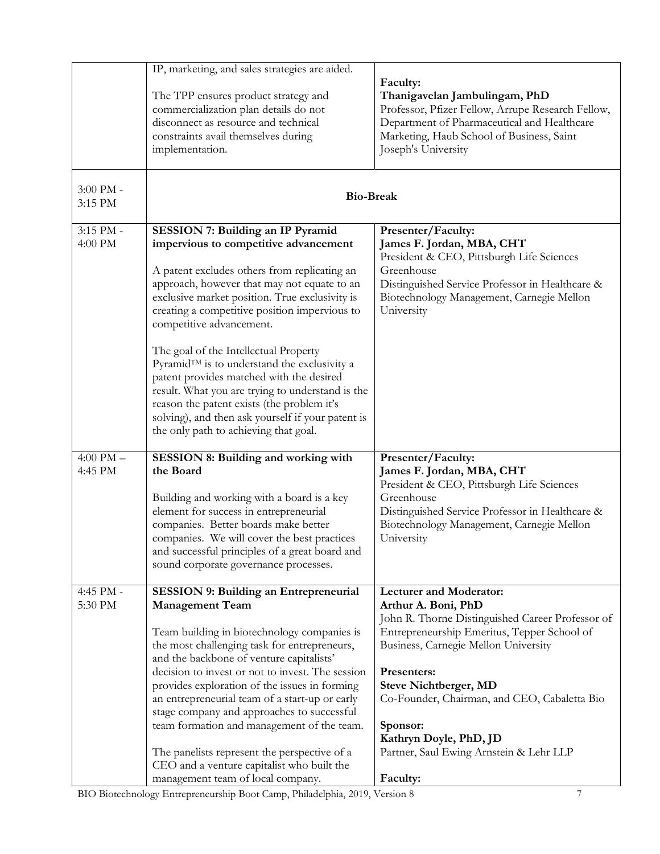|                          | IP, marketing, and sales strategies are aided.<br>The TPP ensures product strategy and<br>commercialization plan details do not<br>disconnect as resource and technical<br>constraints avail themselves during<br>implementation.                                                                                                                                                                                                                                                                                                                                                                                                                   | Faculty:<br>Thanigavelan Jambulingam, PhD<br>Professor, Pfizer Fellow, Arrupe Research Fellow,<br>Department of Pharmaceutical and Healthcare<br>Marketing, Haub School of Business, Saint<br>Joseph's University                                                                                                                                                                                   |
|--------------------------|-----------------------------------------------------------------------------------------------------------------------------------------------------------------------------------------------------------------------------------------------------------------------------------------------------------------------------------------------------------------------------------------------------------------------------------------------------------------------------------------------------------------------------------------------------------------------------------------------------------------------------------------------------|-----------------------------------------------------------------------------------------------------------------------------------------------------------------------------------------------------------------------------------------------------------------------------------------------------------------------------------------------------------------------------------------------------|
| 3:00 PM -<br>3:15 PM     | <b>Bio-Break</b>                                                                                                                                                                                                                                                                                                                                                                                                                                                                                                                                                                                                                                    |                                                                                                                                                                                                                                                                                                                                                                                                     |
| 3:15 PM -<br>4:00 PM     | <b>SESSION 7: Building an IP Pyramid</b><br>impervious to competitive advancement<br>A patent excludes others from replicating an<br>approach, however that may not equate to an<br>exclusive market position. True exclusivity is<br>creating a competitive position impervious to<br>competitive advancement.<br>The goal of the Intellectual Property<br>Pyramid™ is to understand the exclusivity a<br>patent provides matched with the desired<br>result. What you are trying to understand is the<br>reason the patent exists (the problem it's<br>solving), and then ask yourself if your patent is<br>the only path to achieving that goal. | Presenter/Faculty:<br>James F. Jordan, MBA, CHT<br>President & CEO, Pittsburgh Life Sciences<br>Greenhouse<br>Distinguished Service Professor in Healthcare &<br>Biotechnology Management, Carnegie Mellon<br>University                                                                                                                                                                            |
| $4:00$ PM $-$<br>4:45 PM | SESSION 8: Building and working with<br>the Board<br>Building and working with a board is a key<br>element for success in entrepreneurial<br>companies. Better boards make better<br>companies. We will cover the best practices<br>and successful principles of a great board and<br>sound corporate governance processes.                                                                                                                                                                                                                                                                                                                         | Presenter/Faculty:<br>James F. Jordan, MBA, CHT<br>President & CEO, Pittsburgh Life Sciences<br>Greenhouse<br>Distinguished Service Professor in Healthcare &<br>Biotechnology Management, Carnegie Mellon<br>University                                                                                                                                                                            |
| 4:45 PM -<br>5:30 PM     | <b>SESSION 9: Building an Entrepreneurial</b><br><b>Management Team</b><br>Team building in biotechnology companies is<br>the most challenging task for entrepreneurs,<br>and the backbone of venture capitalists'<br>decision to invest or not to invest. The session<br>provides exploration of the issues in forming<br>an entrepreneurial team of a start-up or early<br>stage company and approaches to successful<br>team formation and management of the team.<br>The panelists represent the perspective of a<br>CEO and a venture capitalist who built the<br>management team of local company.                                            | <b>Lecturer and Moderator:</b><br>Arthur A. Boni, PhD<br>John R. Thorne Distinguished Career Professor of<br>Entrepreneurship Emeritus, Tepper School of<br>Business, Carnegie Mellon University<br><b>Presenters:</b><br><b>Steve Nichtberger, MD</b><br>Co-Founder, Chairman, and CEO, Cabaletta Bio<br>Sponsor:<br>Kathryn Doyle, PhD, JD<br>Partner, Saul Ewing Arnstein & Lehr LLP<br>Faculty: |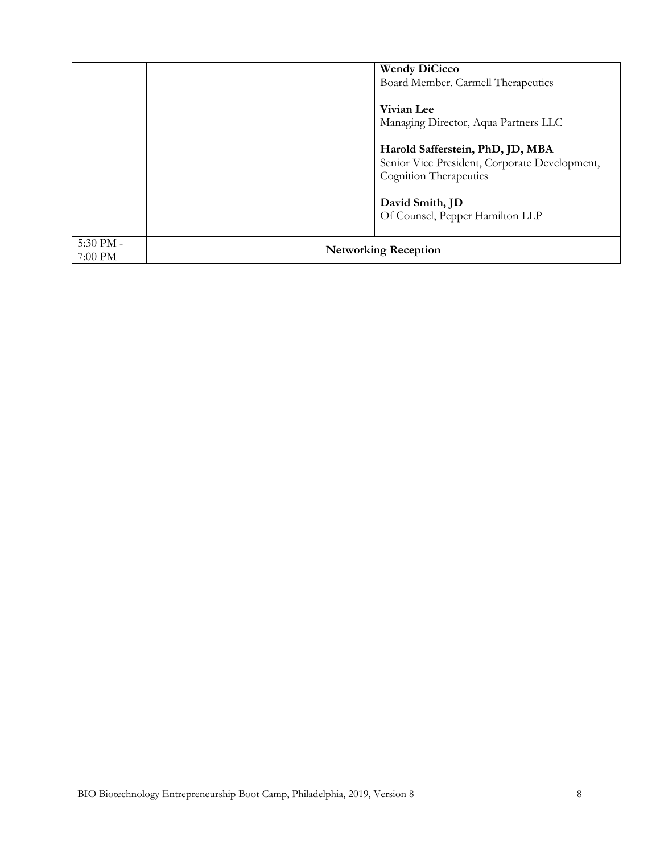|               | <b>Wendy DiCicco</b>                          |
|---------------|-----------------------------------------------|
|               | Board Member. Carmell Therapeutics            |
|               |                                               |
|               | Vivian Lee                                    |
|               | Managing Director, Aqua Partners LLC          |
|               |                                               |
|               | Harold Safferstein, PhD, JD, MBA              |
|               | Senior Vice President, Corporate Development, |
|               | Cognition Therapeutics                        |
|               |                                               |
|               | David Smith, JD                               |
|               | Of Counsel, Pepper Hamilton LLP               |
|               |                                               |
| $5:30$ PM $-$ | <b>Networking Reception</b>                   |
| 7:00 PM       |                                               |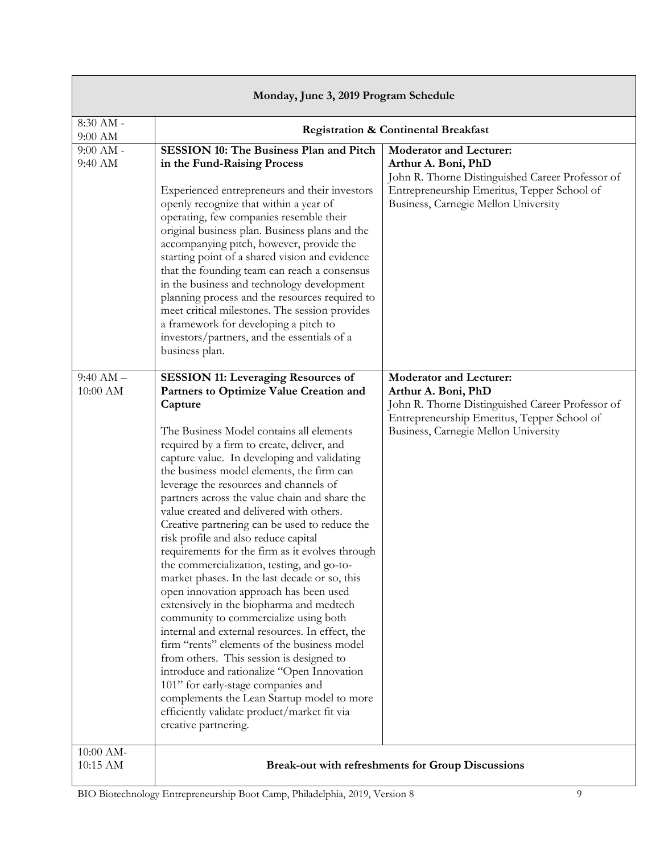| Monday, June 3, 2019 Program Schedule |                                                                                                                                                                                                                                                                                                                                                                                                                                                                                                                                                                                                                                                                                                                                                                                                                                                                                                                                                                                                                                                                                                                                                                |                                                                                                                                                                                                  |
|---------------------------------------|----------------------------------------------------------------------------------------------------------------------------------------------------------------------------------------------------------------------------------------------------------------------------------------------------------------------------------------------------------------------------------------------------------------------------------------------------------------------------------------------------------------------------------------------------------------------------------------------------------------------------------------------------------------------------------------------------------------------------------------------------------------------------------------------------------------------------------------------------------------------------------------------------------------------------------------------------------------------------------------------------------------------------------------------------------------------------------------------------------------------------------------------------------------|--------------------------------------------------------------------------------------------------------------------------------------------------------------------------------------------------|
| 8:30 AM -<br>$9:00~\mathrm{AM}$       | <b>Registration &amp; Continental Breakfast</b>                                                                                                                                                                                                                                                                                                                                                                                                                                                                                                                                                                                                                                                                                                                                                                                                                                                                                                                                                                                                                                                                                                                |                                                                                                                                                                                                  |
| $9:00$ AM -<br>9:40 AM                | <b>SESSION 10: The Business Plan and Pitch</b><br>in the Fund-Raising Process<br>Experienced entrepreneurs and their investors<br>openly recognize that within a year of<br>operating, few companies resemble their<br>original business plan. Business plans and the<br>accompanying pitch, however, provide the<br>starting point of a shared vision and evidence<br>that the founding team can reach a consensus<br>in the business and technology development<br>planning process and the resources required to<br>meet critical milestones. The session provides<br>a framework for developing a pitch to<br>investors/partners, and the essentials of a<br>business plan.                                                                                                                                                                                                                                                                                                                                                                                                                                                                                | <b>Moderator and Lecturer:</b><br>Arthur A. Boni, PhD<br>John R. Thorne Distinguished Career Professor of<br>Entrepreneurship Emeritus, Tepper School of<br>Business, Carnegie Mellon University |
| $9:40$ AM $-$<br>10:00 AM             | <b>SESSION 11: Leveraging Resources of</b><br>Partners to Optimize Value Creation and<br>Capture<br>The Business Model contains all elements<br>required by a firm to create, deliver, and<br>capture value. In developing and validating<br>the business model elements, the firm can<br>leverage the resources and channels of<br>partners across the value chain and share the<br>value created and delivered with others.<br>Creative partnering can be used to reduce the<br>risk profile and also reduce capital<br>requirements for the firm as it evolves through<br>the commercialization, testing, and go-to-<br>market phases. In the last decade or so, this<br>open innovation approach has been used<br>extensively in the biopharma and medtech<br>community to commercialize using both<br>internal and external resources. In effect, the<br>firm "rents" elements of the business model<br>from others. This session is designed to<br>introduce and rationalize "Open Innovation<br>101" for early-stage companies and<br>complements the Lean Startup model to more<br>efficiently validate product/market fit via<br>creative partnering. | <b>Moderator and Lecturer:</b><br>Arthur A. Boni, PhD<br>John R. Thorne Distinguished Career Professor of<br>Entrepreneurship Emeritus, Tepper School of<br>Business, Carnegie Mellon University |
| 10:00 AM-<br>10:15 AM                 |                                                                                                                                                                                                                                                                                                                                                                                                                                                                                                                                                                                                                                                                                                                                                                                                                                                                                                                                                                                                                                                                                                                                                                | <b>Break-out with refreshments for Group Discussions</b>                                                                                                                                         |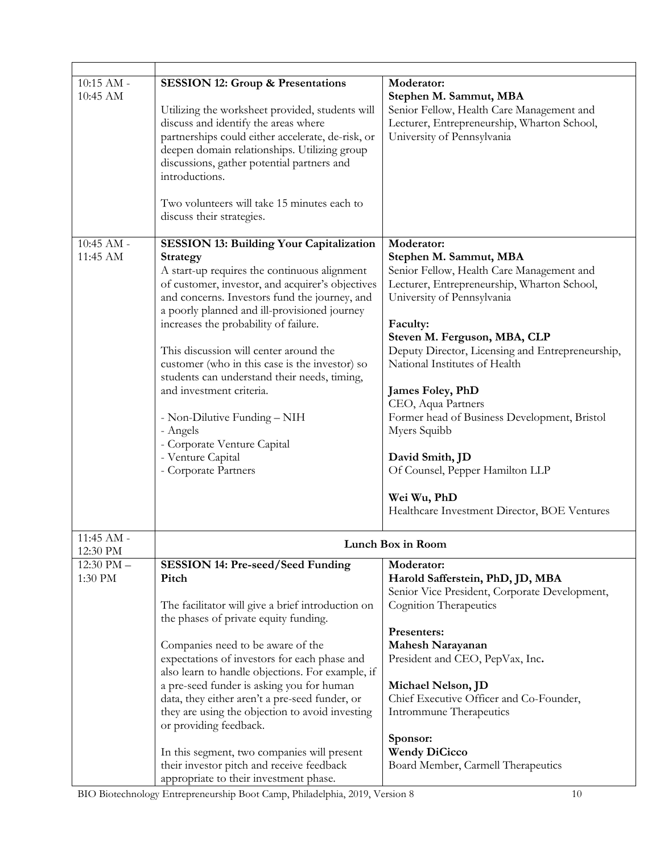| $10:15$ AM $\text{-}$<br>10:45 AM | <b>SESSION 12: Group &amp; Presentations</b><br>Utilizing the worksheet provided, students will<br>discuss and identify the areas where<br>partnerships could either accelerate, de-risk, or<br>deepen domain relationships. Utilizing group<br>discussions, gather potential partners and<br>introductions.                                                                                                                                                                                                                                                                                                     | Moderator:<br>Stephen M. Sammut, MBA<br>Senior Fellow, Health Care Management and<br>Lecturer, Entrepreneurship, Wharton School,<br>University of Pennsylvania                                                                                                                                                                                                                                                                                                                                                                 |
|-----------------------------------|------------------------------------------------------------------------------------------------------------------------------------------------------------------------------------------------------------------------------------------------------------------------------------------------------------------------------------------------------------------------------------------------------------------------------------------------------------------------------------------------------------------------------------------------------------------------------------------------------------------|--------------------------------------------------------------------------------------------------------------------------------------------------------------------------------------------------------------------------------------------------------------------------------------------------------------------------------------------------------------------------------------------------------------------------------------------------------------------------------------------------------------------------------|
|                                   | Two volunteers will take 15 minutes each to<br>discuss their strategies.                                                                                                                                                                                                                                                                                                                                                                                                                                                                                                                                         |                                                                                                                                                                                                                                                                                                                                                                                                                                                                                                                                |
| $10:45$ AM -<br>11:45 AM          | <b>SESSION 13: Building Your Capitalization</b><br><b>Strategy</b><br>A start-up requires the continuous alignment<br>of customer, investor, and acquirer's objectives<br>and concerns. Investors fund the journey, and<br>a poorly planned and ill-provisioned journey<br>increases the probability of failure.<br>This discussion will center around the<br>customer (who in this case is the investor) so<br>students can understand their needs, timing,<br>and investment criteria.<br>- Non-Dilutive Funding - NIH<br>- Angels<br>- Corporate Venture Capital<br>- Venture Capital<br>- Corporate Partners | Moderator:<br>Stephen M. Sammut, MBA<br>Senior Fellow, Health Care Management and<br>Lecturer, Entrepreneurship, Wharton School,<br>University of Pennsylvania<br>Faculty:<br>Steven M. Ferguson, MBA, CLP<br>Deputy Director, Licensing and Entrepreneurship,<br>National Institutes of Health<br>James Foley, PhD<br>CEO, Aqua Partners<br>Former head of Business Development, Bristol<br>Myers Squibb<br>David Smith, JD<br>Of Counsel, Pepper Hamilton LLP<br>Wei Wu, PhD<br>Healthcare Investment Director, BOE Ventures |
| 11:45 AM -<br>12:30 PM            |                                                                                                                                                                                                                                                                                                                                                                                                                                                                                                                                                                                                                  | Lunch Box in Room                                                                                                                                                                                                                                                                                                                                                                                                                                                                                                              |
| 12:30 PM $-$<br>1:30 PM           | <b>SESSION 14: Pre-seed/Seed Funding</b><br>Pitch<br>The facilitator will give a brief introduction on<br>the phases of private equity funding.<br>Companies need to be aware of the<br>expectations of investors for each phase and<br>also learn to handle objections. For example, if<br>a pre-seed funder is asking you for human<br>data, they either aren't a pre-seed funder, or<br>they are using the objection to avoid investing<br>or providing feedback.<br>In this segment, two companies will present                                                                                              | Moderator:<br>Harold Safferstein, PhD, JD, MBA<br>Senior Vice President, Corporate Development,<br>Cognition Therapeutics<br>Presenters:<br>Mahesh Narayanan<br>President and CEO, PepVax, Inc.<br>Michael Nelson, JD<br>Chief Executive Officer and Co-Founder,<br>Intrommune Therapeutics<br>Sponsor:<br><b>Wendy DiCicco</b>                                                                                                                                                                                                |
|                                   | their investor pitch and receive feedback<br>appropriate to their investment phase.                                                                                                                                                                                                                                                                                                                                                                                                                                                                                                                              | Board Member, Carmell Therapeutics                                                                                                                                                                                                                                                                                                                                                                                                                                                                                             |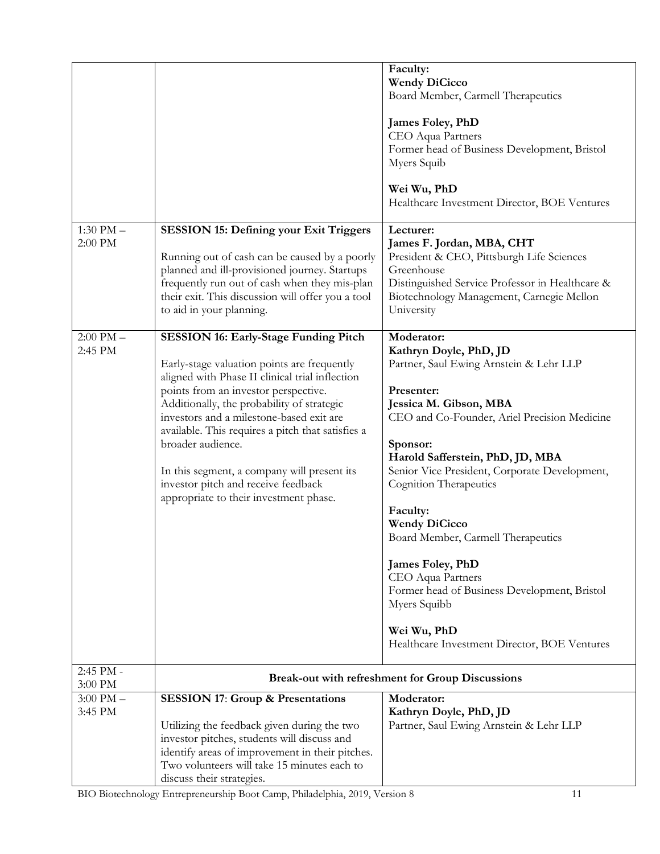|               |                                                                                        | Faculty:                                                                              |
|---------------|----------------------------------------------------------------------------------------|---------------------------------------------------------------------------------------|
|               |                                                                                        | <b>Wendy DiCicco</b>                                                                  |
|               |                                                                                        | Board Member, Carmell Therapeutics                                                    |
|               |                                                                                        | James Foley, PhD<br>CEO Aqua Partners<br>Former head of Business Development, Bristol |
|               |                                                                                        | Myers Squib                                                                           |
|               |                                                                                        |                                                                                       |
|               |                                                                                        | Wei Wu, PhD<br>Healthcare Investment Director, BOE Ventures                           |
| 1:30 PM $-$   | <b>SESSION 15: Defining your Exit Triggers</b>                                         | Lecturer:                                                                             |
| 2:00 PM       |                                                                                        | James F. Jordan, MBA, CHT                                                             |
|               | Running out of cash can be caused by a poorly                                          | President & CEO, Pittsburgh Life Sciences                                             |
|               | planned and ill-provisioned journey. Startups                                          | Greenhouse                                                                            |
|               | frequently run out of cash when they mis-plan                                          | Distinguished Service Professor in Healthcare &                                       |
|               | their exit. This discussion will offer you a tool                                      | Biotechnology Management, Carnegie Mellon                                             |
|               | to aid in your planning.                                                               | University                                                                            |
|               |                                                                                        |                                                                                       |
| $2:00$ PM $-$ | <b>SESSION 16: Early-Stage Funding Pitch</b>                                           | Moderator:                                                                            |
| 2:45 PM       |                                                                                        | Kathryn Doyle, PhD, JD                                                                |
|               | Early-stage valuation points are frequently                                            | Partner, Saul Ewing Arnstein & Lehr LLP                                               |
|               | aligned with Phase II clinical trial inflection                                        |                                                                                       |
|               | points from an investor perspective.                                                   | Presenter:                                                                            |
|               | Additionally, the probability of strategic<br>investors and a milestone-based exit are | Jessica M. Gibson, MBA                                                                |
|               | available. This requires a pitch that satisfies a                                      | CEO and Co-Founder, Ariel Precision Medicine                                          |
|               | broader audience.                                                                      | Sponsor:                                                                              |
|               |                                                                                        | Harold Safferstein, PhD, JD, MBA                                                      |
|               | In this segment, a company will present its                                            | Senior Vice President, Corporate Development,                                         |
|               | investor pitch and receive feedback<br>appropriate to their investment phase.          | Cognition Therapeutics                                                                |
|               |                                                                                        | Faculty:                                                                              |
|               |                                                                                        | <b>Wendy DiCicco</b>                                                                  |
|               |                                                                                        | Board Member, Carmell Therapeutics                                                    |
|               |                                                                                        |                                                                                       |
|               |                                                                                        | James Foley, PhD                                                                      |
|               |                                                                                        | CEO Aqua Partners                                                                     |
|               |                                                                                        | Former head of Business Development, Bristol                                          |
|               |                                                                                        | Myers Squibb                                                                          |
|               |                                                                                        | Wei Wu, PhD                                                                           |
|               |                                                                                        | Healthcare Investment Director, BOE Ventures                                          |
| 2:45 PM -     |                                                                                        |                                                                                       |
| 3:00 PM       | <b>Break-out with refreshment for Group Discussions</b>                                |                                                                                       |
| $3:00$ PM $-$ | <b>SESSION 17: Group &amp; Presentations</b>                                           | Moderator:                                                                            |
| 3:45 PM       |                                                                                        | Kathryn Doyle, PhD, JD                                                                |
|               | Utilizing the feedback given during the two                                            | Partner, Saul Ewing Arnstein & Lehr LLP                                               |
|               | investor pitches, students will discuss and                                            |                                                                                       |
|               | identify areas of improvement in their pitches.                                        |                                                                                       |
|               | Two volunteers will take 15 minutes each to                                            |                                                                                       |
|               | discuss their strategies.                                                              |                                                                                       |